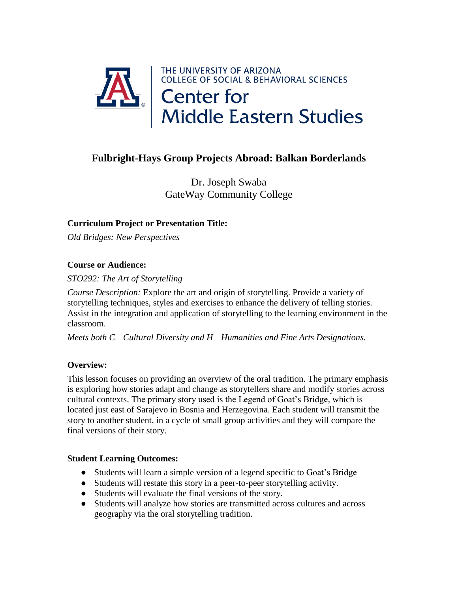

# **Fulbright-Hays Group Projects Abroad: Balkan Borderlands**

Dr. Joseph Swaba GateWay Community College

## **Curriculum Project or Presentation Title:**

*Old Bridges: New Perspectives*

#### **Course or Audience:**

*STO292: The Art of Storytelling* 

*Course Description:* Explore the art and origin of storytelling. Provide a variety of storytelling techniques, styles and exercises to enhance the delivery of telling stories. Assist in the integration and application of storytelling to the learning environment in the classroom.

*Meets both C—Cultural Diversity and H—Humanities and Fine Arts Designations.*

## **Overview:**

This lesson focuses on providing an overview of the oral tradition. The primary emphasis is exploring how stories adapt and change as storytellers share and modify stories across cultural contexts. The primary story used is the Legend of Goat's Bridge, which is located just east of Sarajevo in Bosnia and Herzegovina. Each student will transmit the story to another student, in a cycle of small group activities and they will compare the final versions of their story.

#### **Student Learning Outcomes:**

- Students will learn a simple version of a legend specific to Goat's Bridge
- Students will restate this story in a peer-to-peer storytelling activity.
- Students will evaluate the final versions of the story.
- Students will analyze how stories are transmitted across cultures and across geography via the oral storytelling tradition.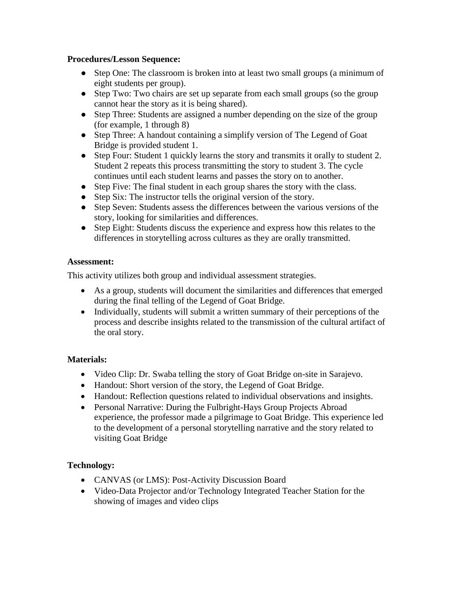#### **Procedures/Lesson Sequence:**

- Step One: The classroom is broken into at least two small groups (a minimum of eight students per group).
- Step Two: Two chairs are set up separate from each small groups (so the group cannot hear the story as it is being shared).
- Step Three: Students are assigned a number depending on the size of the group (for example, 1 through 8)
- Step Three: A handout containing a simplify version of The Legend of Goat Bridge is provided student 1.
- Step Four: Student 1 quickly learns the story and transmits it orally to student 2. Student 2 repeats this process transmitting the story to student 3. The cycle continues until each student learns and passes the story on to another.
- Step Five: The final student in each group shares the story with the class.
- Step Six: The instructor tells the original version of the story.
- Step Seven: Students assess the differences between the various versions of the story, looking for similarities and differences.
- Step Eight: Students discuss the experience and express how this relates to the differences in storytelling across cultures as they are orally transmitted.

#### **Assessment:**

This activity utilizes both group and individual assessment strategies.

- As a group, students will document the similarities and differences that emerged during the final telling of the Legend of Goat Bridge.
- Individually, students will submit a written summary of their perceptions of the process and describe insights related to the transmission of the cultural artifact of the oral story.

## **Materials:**

- Video Clip: Dr. Swaba telling the story of Goat Bridge on-site in Sarajevo.
- Handout: Short version of the story, the Legend of Goat Bridge.
- Handout: Reflection questions related to individual observations and insights.
- Personal Narrative: During the Fulbright-Hays Group Projects Abroad experience, the professor made a pilgrimage to Goat Bridge. This experience led to the development of a personal storytelling narrative and the story related to visiting Goat Bridge

# **Technology:**

- CANVAS (or LMS): Post-Activity Discussion Board
- Video-Data Projector and/or Technology Integrated Teacher Station for the showing of images and video clips